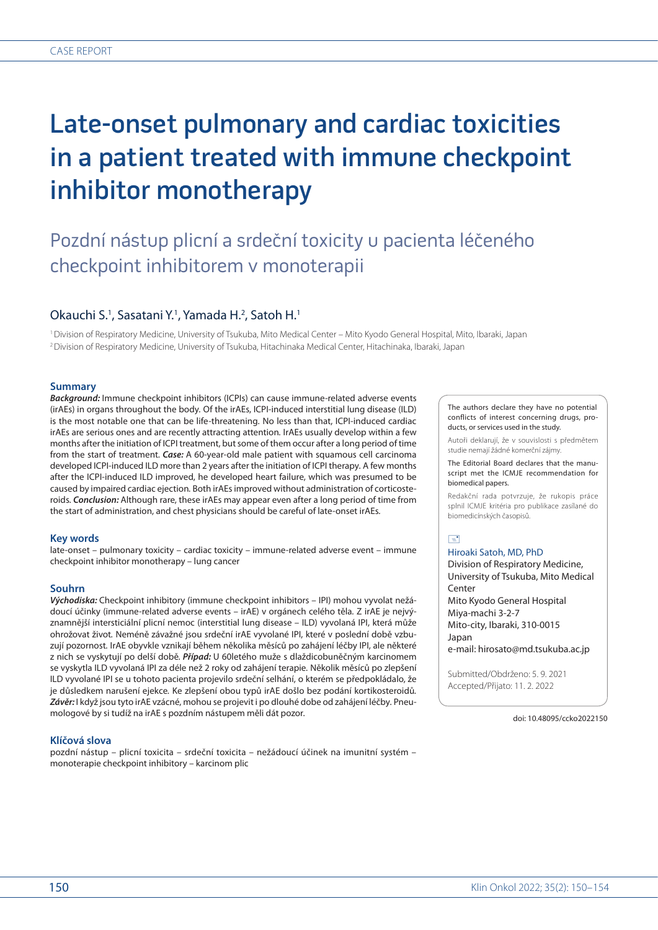# Late-onset pulmonary and cardiac toxicities in a patient treated with immune checkpoint inhibitor monotherapy

# Pozdní nástup plicní a srdeční toxicity u pacienta léčeného checkpoint inhibitorem v monoterapii

# Okauchi S.<sup>1</sup>, Sasatani Y.<sup>1</sup>, Yamada H.<sup>2</sup>, Satoh H.<sup>1</sup>

1 Division of Respiratory Medicine, University of Tsukuba, Mito Medical Center – Mito Kyodo General Hospital, Mito, Ibaraki, Japan 2 Division of Respiratory Medicine, University of Tsukuba, Hitachinaka Medical Center, Hitachinaka, Ibaraki, Japan

### **Summary**

*Background:* Immune checkpoint inhibitors (ICPIs) can cause immune-related adverse events (irAEs) in organs throughout the body*.* Of the irAEs, ICPI-induced interstitial lung disease (ILD) is the most notable one that can be life-threatening*.* No less than that, ICPI-induced cardiac irAEs are serious ones and are recently attracting attention*.* IrAEs usually develop within a few months after the initiation of ICPI treatment, but some of them occur after a long period of time from the start of treatment*. Case:* A 60-year-old male patient with squamous cell carcinoma developed ICPI-induced ILD more than 2 years after the initiation of ICPI therapy*.* A few months after the ICPI-induced ILD improved, he developed heart failure, which was presumed to be caused by impaired cardiac ejection*.* Both irAEs improved without administration of corticosteroids*. Conclusion:* Although rare, these irAEs may appear even after a long period of time from the start of administration, and chest physicians should be careful of late-onset irAEs*.*

### **Key words**

late-onset – pulmonary toxicity – cardiac toxicity – immune-related adverse event – immune checkpoint inhibitor monotherapy – lung cancer

# **Souhrn**

*Východiska:* Checkpoint inhibitory (immune checkpoint inhibitors – IPI) mohou vyvolat nežádoucí účinky (immune-related adverse events – irAE) v orgánech celého těla*.* Z irAE je nejvýznamnější intersticiální plicní nemoc (interstitial lung disease – ILD) vyvolaná IPI, která může ohrožovat život*.* Neméně závažné jsou srdeční irAE vyvolané IPI, které v poslední době vzbuzují pozornost*.* IrAE obyvkle vznikají během několika měsíců po zahájení léčby IPI, ale některé z nich se vyskytují po delší době*. Případ:* U 60letého muže s dlaždicobuněčným karcinomem se vyskytla ILD vyvolaná IPI za déle než 2 roky od zahájení terapie*.* Několik měsíců po zlepšení ILD vyvolané IPI se u tohoto pacienta projevilo srdeční selhání, o kterém se předpokládalo, že je důsledkem narušení ejekce*.* Ke zlepšení obou typů irAE došlo bez podání kortikosteroidů*. Závěr:* I když jsou tyto irAE vzácné, mohou se projevit i po dlouhé dobe od zahájení léčby*.* Pneumologové by si tudíž na irAE s pozdním nástupem měli dát pozor*.*

### **Klíčová slova**

pozdní nástup – plicní toxicita – srdeční toxicita – nežádoucí účinek na imunitní systém – monoterapie checkpoint inhibitory – karcinom plic

The authors declare they have no potential conflicts of interest concerning drugs, products, or services used in the study.

Autoři deklarují, že v souvislosti s předmětem studie nemají žádné komerční zájmy.

The Editorial Board declares that the manuscript met the ICMJE recommendation for biomedical papers.

Redakční rada potvrzuje, že rukopis práce splnil ICMJE kritéria pro publikace zasílané do biomedicínských časopisů.

# $\Box$

# Hiroaki Satoh, MD, PhD

Division of Respiratory Medicine, University of Tsukuba, Mito Medical Center Mito Kyodo General Hospital Miya-machi 3-2-7 Mito-city, Ibaraki, 310-0015 Japan e-mail: hirosato@md.tsukuba.ac.jp

Submitted/Obdrženo: 5. 9. 2021 Accepted/Přijato: 11. 2. 2022

doi: 10.48095/ccko2022150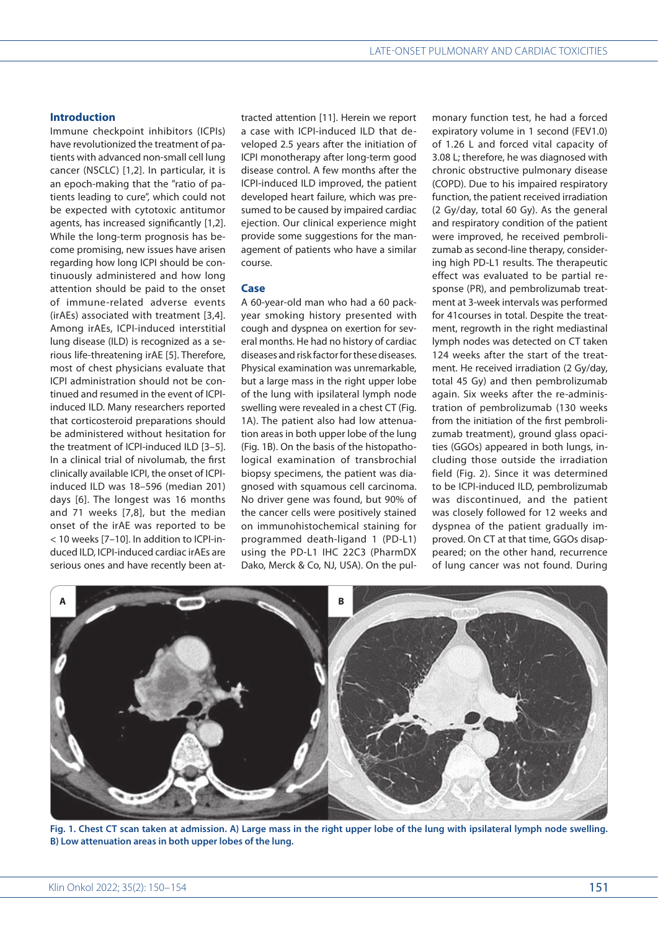# **Introduction**

Immune checkpoint inhibitors (ICPIs) have revolutionized the treatment of patients with advanced non-small cell lung cancer (NSCLC) [1,2]. In particular, it is an epoch-making that the "ratio of patients leading to cure", which could not be expected with cytotoxic antitumor agents, has increased significantly [1,2]. While the long-term prognosis has become promising, new issues have arisen regarding how long ICPI should be continuously administered and how long attention should be paid to the onset of immune-related adverse events (irAEs) associated with treatment [3,4]. Among irAEs, ICPI-induced interstitial lung disease (ILD) is recognized as a serious life-threatening irAE [5]. Therefore, most of chest physicians evaluate that ICPI administration should not be continued and resumed in the event of ICPIinduced ILD. Many researchers reported that corticosteroid preparations should be administered without hesitation for the treatment of ICPI-induced ILD [3–5]. In a clinical trial of nivolumab, the first clinically available ICPI, the onset of ICPIinduced ILD was 18–596 (median 201) days [6]. The longest was 16 months and 71 weeks [7,8], but the median onset of the irAE was reported to be < 10 weeks [7–10]. In addition to ICPI-induced ILD, ICPI-induced cardiac irAEs are serious ones and have recently been at-

tracted attention [11]. Herein we report a case with ICPI-induced ILD that developed 2.5 years after the initiation of ICPI monotherapy after long-term good disease control. A few months after the ICPI-induced ILD improved, the patient developed heart failure, which was presumed to be caused by impaired cardiac ejection. Our clinical experience might provide some suggestions for the management of patients who have a similar course.

# **Case**

A 60-year-old man who had a 60 packyear smoking history presented with cough and dyspnea on exertion for several months. He had no history of cardiac diseases and risk factor for these diseases. Physical examination was unremarkable, but a large mass in the right upper lobe of the lung with ipsilateral lymph node swelling were revealed in a chest CT (Fig. 1A). The patient also had low attenuation areas in both upper lobe of the lung (Fig. 1B). On the basis of the histopathological examination of transbrochial biopsy specimens, the patient was diagnosed with squamous cell carcinoma. No driver gene was found, but 90% of the cancer cells were positively stained on immunohistochemical staining for programmed death-ligand 1 (PD-L1) using the PD-L1 IHC 22C3 (PharmDX Dako, Merck & Co, NJ, USA). On the pulmonary function test, he had a forced expiratory volume in 1 second (FEV1.0) of 1.26 L and forced vital capacity of 3.08 L; therefore, he was diagnosed with chronic obstructive pulmonary disease (COPD). Due to his impaired respiratory function, the patient received irradiation (2 Gy/day, total 60 Gy). As the general and respiratory condition of the patient were improved, he received pembrolizumab as second-line therapy, considering high PD-L1 results. The therapeutic effect was evaluated to be partial response (PR), and pembrolizumab treatment at 3-week intervals was performed for 41courses in total. Despite the treatment, regrowth in the right mediastinal lymph nodes was detected on CT taken 124 weeks after the start of the treatment. He received irradiation (2 Gy/day, total 45 Gy) and then pembrolizumab again. Six weeks after the re-administration of pembrolizumab (130 weeks from the initiation of the first pembrolizumab treatment), ground glass opacities (GGOs) appeared in both lungs, including those outside the irradiation field (Fig. 2). Since it was determined to be ICPI-induced ILD, pembrolizumab was discontinued, and the patient was closely followed for 12 weeks and dyspnea of the patient gradually improved. On CT at that time, GGOs disappeared; on the other hand, recurrence of lung cancer was not found. During



**Fig. 1. Chest CT scan taken at admission. A) Large mass in the right upper lobe of the lung with ipsilateral lymph node swelling. B) Low attenuation areas in both upper lobes of the lung.**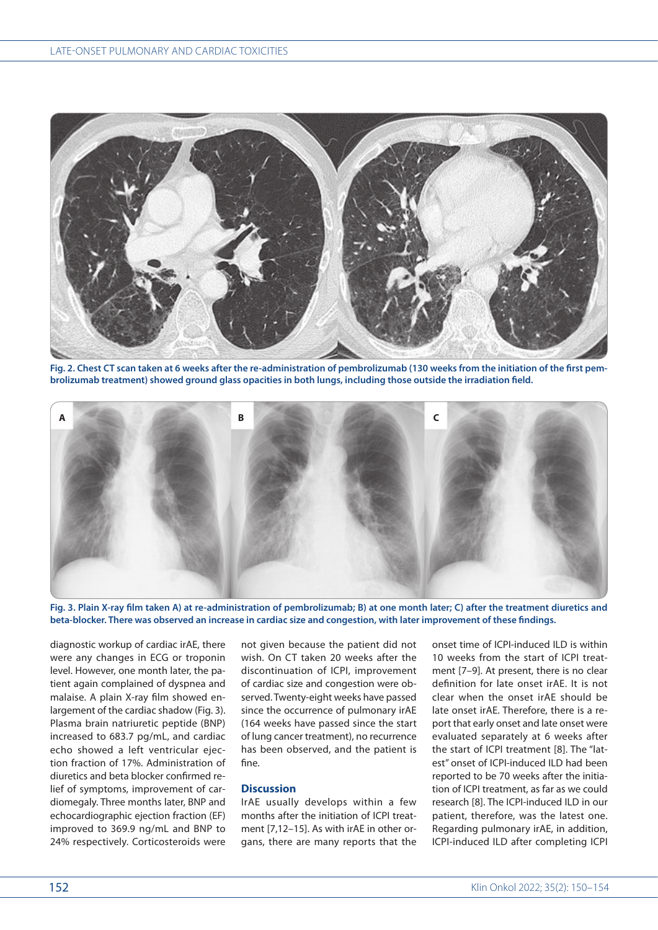

**Fig. 2. Chest CT scan taken at 6 weeks after the re-administration of pembrolizumab (130 weeks from the initiation of the first pembrolizumab treatment) showed ground glass opacities in both lungs, including those outside the irradiation field.**



**Fig. 3. Plain X-ray film taken A) at re-administration of pembrolizumab; B) at one month later; C) after the treatment diuretics and beta-blocker. There was observed an increase in cardiac size and congestion, with later improvement of these findings.**

diagnostic workup of cardiac irAE, there were any changes in ECG or troponin level. However, one month later, the patient again complained of dyspnea and malaise. A plain X-ray film showed enlargement of the cardiac shadow (Fig. 3). Plasma brain natriuretic peptide (BNP) increased to 683.7 pg/mL, and cardiac echo showed a left ventricular ejection fraction of 17%. Administration of diuretics and beta blocker confirmed relief of symptoms, improvement of cardiomegaly. Three months later, BNP and echocardiographic ejection fraction (EF) improved to 369.9 ng/mL and BNP to 24% respectively. Corticosteroids were

not given because the patient did not wish. On CT taken 20 weeks after the discontinuation of ICPI, improvement of cardiac size and congestion were observed. Twenty-eight weeks have passed since the occurrence of pulmonary irAE (164 weeks have passed since the start of lung cancer treatment), no recurrence has been observed, and the patient is fine.

# **Discussion**

IrAE usually develops within a few months after the initiation of ICPI treatment [7,12–15]. As with irAE in other organs, there are many reports that the onset time of ICPI-induced ILD is within 10 weeks from the start of ICPI treatment [7–9]. At present, there is no clear definition for late onset irAE. It is not clear when the onset irAE should be late onset irAE. Therefore, there is a report that early onset and late onset were evaluated separately at 6 weeks after the start of ICPI treatment [8]. The "latest" onset of ICPI-induced ILD had been reported to be 70 weeks after the initiation of ICPI treatment, as far as we could research [8]. The ICPI-induced ILD in our patient, therefore, was the latest one. Regarding pulmonary irAE, in addition, ICPI-induced ILD after completing ICPI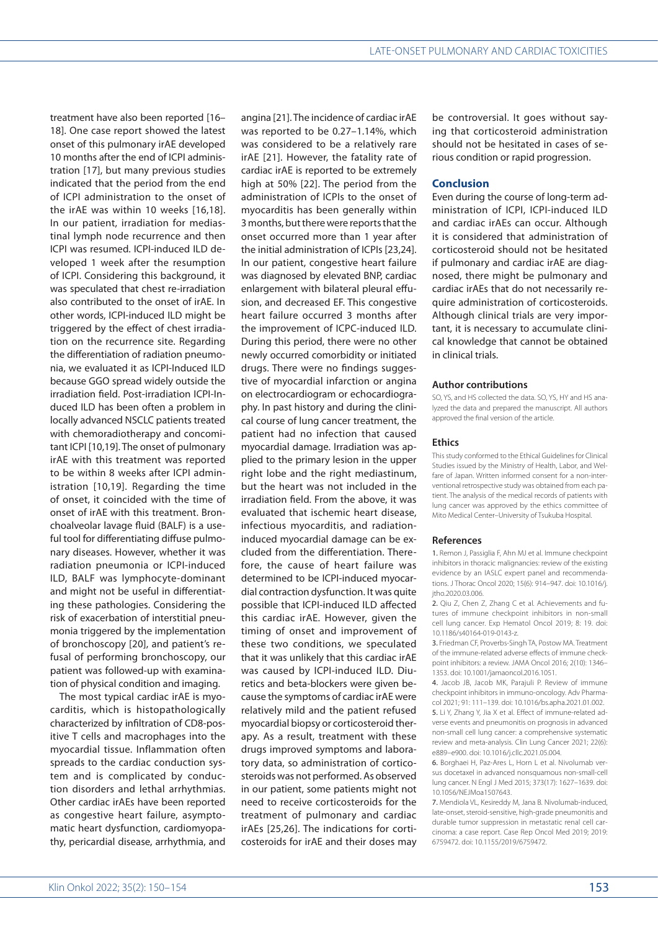treatment have also been reported [16– 18]. One case report showed the latest onset of this pulmonary irAE developed 10 months after the end of ICPI administration [17], but many previous studies indicated that the period from the end of ICPI administration to the onset of the irAE was within 10 weeks [16,18]. In our patient, irradiation for mediastinal lymph node recurrence and then ICPI was resumed. ICPI-induced ILD developed 1 week after the resumption of ICPI. Considering this background, it was speculated that chest re-irradiation also contributed to the onset of irAE. In other words, ICPI-induced ILD might be triggered by the effect of chest irradiation on the recurrence site. Regarding the differentiation of radiation pneumonia, we evaluated it as ICPI-Induced ILD because GGO spread widely outside the irradiation field. Post-irradiation ICPI-Induced ILD has been often a problem in locally advanced NSCLC patients treated with chemoradiotherapy and concomitant ICPI [10,19]. The onset of pulmonary irAE with this treatment was reported to be within 8 weeks after ICPI administration [10,19]. Regarding the time of onset, it coincided with the time of onset of irAE with this treatment. Bronchoalveolar lavage fluid (BALF) is a useful tool for differentiating diffuse pulmonary diseases. However, whether it was radiation pneumonia or ICPI-induced ILD, BALF was lymphocyte-dominant and might not be useful in differentiating these pathologies. Considering the risk of exacerbation of interstitial pneumonia triggered by the implementation of bronchoscopy [20], and patient's refusal of performing bronchoscopy, our patient was followed-up with examination of physical condition and imaging.

The most typical cardiac irAE is myocarditis, which is histopathologically characterized by infiltration of CD8-positive T cells and macrophages into the myocardial tissue. Inflammation often spreads to the cardiac conduction system and is complicated by conduction disorders and lethal arrhythmias. Other cardiac irAEs have been reported as congestive heart failure, asymptomatic heart dysfunction, cardiomyopathy, pericardial disease, arrhythmia, and

angina [21]. The incidence of cardiac irAE was reported to be 0.27–1.14%, which was considered to be a relatively rare irAE [21]. However, the fatality rate of cardiac irAE is reported to be extremely high at 50% [22]. The period from the administration of ICPIs to the onset of myocarditis has been generally within 3 months, but there were reports that the onset occurred more than 1 year after the initial administration of ICPIs [23,24]. In our patient, congestive heart failure was diagnosed by elevated BNP, cardiac enlargement with bilateral pleural effusion, and decreased EF. This congestive heart failure occurred 3 months after the improvement of ICPC-induced ILD. During this period, there were no other newly occurred comorbidity or initiated drugs. There were no findings suggestive of myocardial infarction or angina on electrocardiogram or echocardiography. In past history and during the clinical course of lung cancer treatment, the patient had no infection that caused myocardial damage. Irradiation was applied to the primary lesion in the upper right lobe and the right mediastinum, but the heart was not included in the irradiation field. From the above, it was evaluated that ischemic heart disease, infectious myocarditis, and radiationinduced myocardial damage can be excluded from the differentiation. Therefore, the cause of heart failure was determined to be ICPI-induced myocardial contraction dysfunction. It was quite possible that ICPI-induced ILD affected this cardiac irAE. However, given the timing of onset and improvement of these two conditions, we speculated that it was unlikely that this cardiac irAE was caused by ICPI-induced ILD. Diuretics and beta-blockers were given because the symptoms of cardiac irAE were relatively mild and the patient refused myocardial biopsy or corticosteroid therapy. As a result, treatment with these drugs improved symptoms and laboratory data, so administration of corticosteroids was not performed. As observed in our patient, some patients might not need to receive corticosteroids for the treatment of pulmonary and cardiac irAEs [25,26]. The indications for corticosteroids for irAE and their doses may

be controversial. It goes without saying that corticosteroid administration should not be hesitated in cases of serious condition or rapid progression.

# **Conclusion**

Even during the course of long-term administration of ICPI, ICPI-induced ILD and cardiac irAEs can occur. Although it is considered that administration of corticosteroid should not be hesitated if pulmonary and cardiac irAE are diagnosed, there might be pulmonary and cardiac irAEs that do not necessarily require administration of corticosteroids. Although clinical trials are very important, it is necessary to accumulate clinical knowledge that cannot be obtained in clinical trials.

#### **Author contributions**

SO, YS, and HS collected the data. SO, YS, HY and HS analyzed the data and prepared the manuscript. All authors approved the final version of the article.

#### **Ethics**

This study conformed to the Ethical Guidelines for Clinical Studies issued by the Ministry of Health, Labor, and Welfare of Japan. Written informed consent for a non-interventional retrospective study was obtained from each patient. The analysis of the medical records of patients with lung cancer was approved by the ethics committee of Mito Medical Center–University of Tsukuba Hospital.

#### **References**

1. Remon J, Passiglia E, Ahn MJ et al. Immune checkpoint inhibitors in thoracic malignancies: review of the existing evidence by an IASLC expert panel and recommendations. J Thorac Oncol 2020; 15(6): 914–947. doi: 10.1016/j. jtho.2020.03.006.

2. Qiu Z, Chen Z, Zhang C et al. Achievements and futures of immune checkpoint inhibitors in non-small cell lung cancer. Exp Hematol Oncol 2019; 8: 19. doi: 10.1186/s40164-019-0143-z.

3. Friedman CF, Proverbs-Singh TA, Postow MA. Treatment of the immune-related adverse effects of immune checkpoint inhibitors: a review. JAMA Oncol 2016; 2(10): 1346– 1353. doi: 10.1001/jamaoncol.2016.1051.

4. Jacob JB, Jacob MK, Parajuli P. Review of immune checkpoint inhibitors in immuno-oncology. Adv Pharmacol 2021; 91: 111–139. doi: 10.1016/bs.apha.2021.01.002. 5. Li Y, Zhang Y, Jia X et al. Effect of immune-related adverse events and pneumonitis on prognosis in advanced non-small cell lung cancer: a comprehensive systematic review and meta-analysis. Clin Lung Cancer 2021; 22(6):

e889–e900. doi: 10.1016/j.cllc.2021.05.004. 6. Borghaei H, Paz-Ares L, Horn L et al. Nivolumab versus docetaxel in advanced nonsquamous non-small-cell lung cancer. N Engl J Med 2015; 373(17): 1627–1639. doi: 10.1056/NEJMoa1507643.

7. Mendiola VL, Kesireddy M, Jana B. Nivolumab-induced, late-onset, steroid-sensitive, high-grade pneumonitis and durable tumor suppression in metastatic renal cell carcinoma: a case report. Case Rep Oncol Med 2019; 2019: 6759472. doi: 10.1155/2019/6759472.